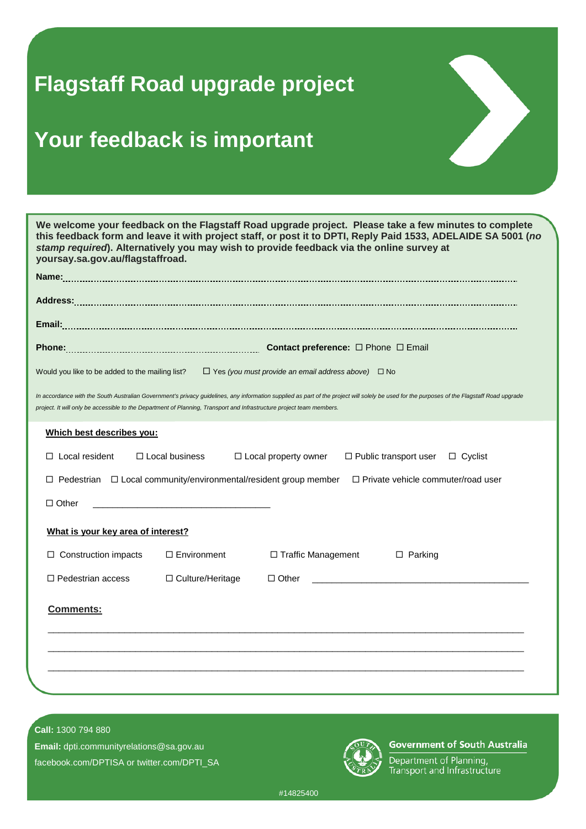## **Flagstaff Road upgrade project**

## **Your feedback is important**



## **Call:** 1300 794 880

**Email:** dpti.communityrelations@sa.gov.au facebook.com/DPTISA or twitter.com/DPTI\_SA



## **Government of South Australia**

Department of Planning, Transport and Infrastructure